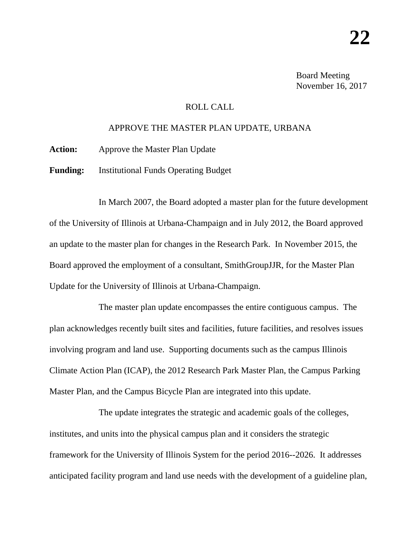Board Meeting November 16, 2017

## ROLL CALL

## APPROVE THE MASTER PLAN UPDATE, URBANA

**Action:** Approve the Master Plan Update

**Funding:** Institutional Funds Operating Budget

In March 2007, the Board adopted a master plan for the future development of the University of Illinois at Urbana-Champaign and in July 2012, the Board approved an update to the master plan for changes in the Research Park. In November 2015, the Board approved the employment of a consultant, SmithGroupJJR, for the Master Plan Update for the University of Illinois at Urbana-Champaign.

The master plan update encompasses the entire contiguous campus. The plan acknowledges recently built sites and facilities, future facilities, and resolves issues involving program and land use. Supporting documents such as the campus Illinois Climate Action Plan (ICAP), the 2012 Research Park Master Plan, the Campus Parking Master Plan, and the Campus Bicycle Plan are integrated into this update.

The update integrates the strategic and academic goals of the colleges, institutes, and units into the physical campus plan and it considers the strategic framework for the University of Illinois System for the period 2016--2026. It addresses anticipated facility program and land use needs with the development of a guideline plan,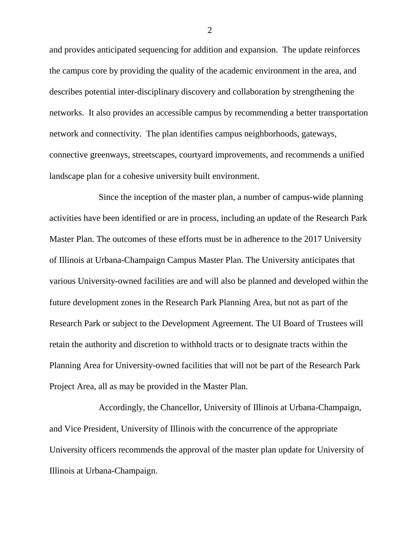and provides anticipated sequencing for addition and expansion. The update reinforces the campus core by providing the quality of the academic environment in the area, and describes potential inter-disciplinary discovery and collaboration by strengthening the networks. It also provides an accessible campus by recommending a better transportation network and connectivity. The plan identifies campus neighborhoods, gateways, connective greenways, streetscapes, courtyard improvements, and recommends a unified landscape plan for a cohesive university built environment.

Since the inception of the master plan, a number of campus-wide planning activities have been identified or are in process, including an update of the Research Park Master Plan. The outcomes of these efforts must be in adherence to the 2017 University of Illinois at Urbana-Champaign Campus Master Plan. The University anticipates that various University-owned facilities are and will also be planned and developed within the future development zones in the Research Park Planning Area, but not as part of the Research Park or subject to the Development Agreement. The UI Board of Trustees will retain the authority and discretion to withhold tracts or to designate tracts within the Planning Area for University-owned facilities that will not be part of the Research Park Project Area, all as may be provided in the Master Plan.

Accordingly, the Chancellor, University of Illinois at Urbana-Champaign, and Vice President, University of Illinois with the concurrence of the appropriate University officers recommends the approval of the master plan update for University of Illinois at Urbana-Champaign.

2